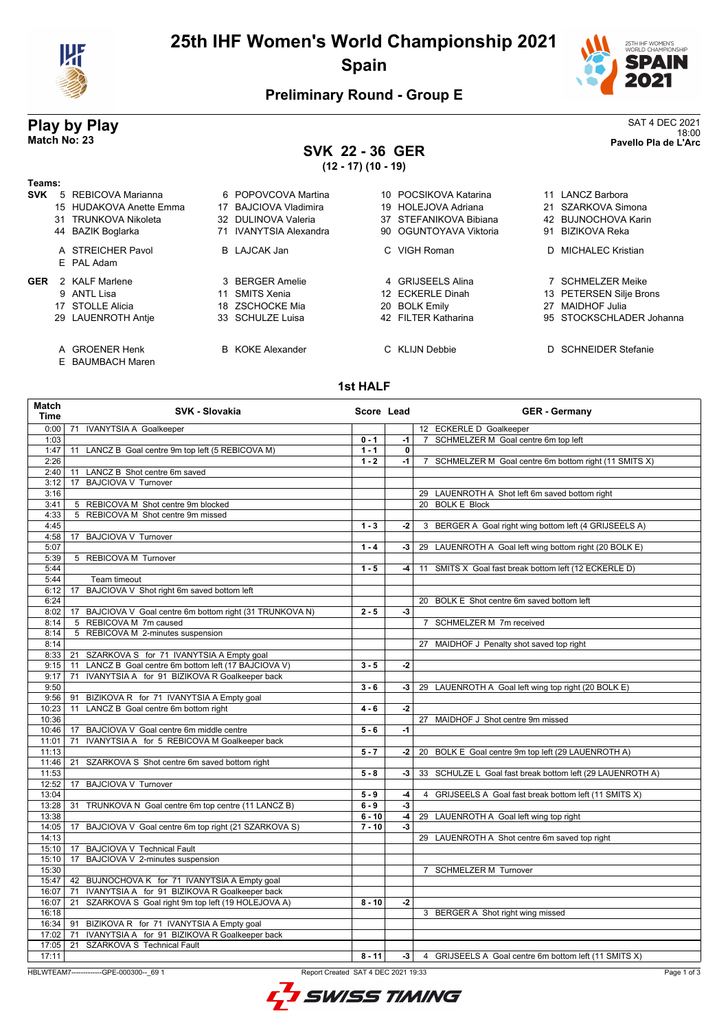

# **25th IHF Women's World Championship 2021 Spain**



## **Preliminary Round - Group E**

## **SVK 22 - 36 GER (12 - 17) (10 - 19)**

**Play by Play**<br>Match No: 23<br>Pavello Pla de L'Arc 18:00 **Match No: 23 Pavello Pla de L'Arc**

| Teams:     |                                    |                          |                        |                          |
|------------|------------------------------------|--------------------------|------------------------|--------------------------|
| <b>SVK</b> | REBICOVA Marianna<br>$5^{\circ}$   | 6 POPOVCOVA Martina      | 10 POCSIKOVA Katarina  | LANCZ Barbora            |
|            | 15 HUDAKOVA Anette Emma            | BAJCIOVA Vladimira<br>17 | 19 HOLEJOVA Adriana    | 21 SZARKOVA Simona       |
|            | TRUNKOVA Nikoleta<br>31            | 32 DULINOVA Valeria      | 37 STEFANIKOVA Bibiana | 42 BUJNOCHOVA Karin      |
|            | 44 BAZIK Boglarka                  | 71 IVANYTSIA Alexandra   | 90 OGUNTOYAVA Viktoria | BIZIKOVA Reka<br>91      |
|            | A STREICHER Pavol<br>E PAL Adam    | B LAJCAK Jan             | C VIGH Roman           | D MICHALEC Kristian      |
| <b>GER</b> | 2 KALF Marlene                     | 3 BERGER Amelie          | 4 GRIJSEELS Alina      | 7 SCHMELZER Meike        |
|            | 9 ANTL Lisa                        | SMITS Xenia<br>11        | 12 ECKERLE Dinah       | 13 PETERSEN Silje Brons  |
|            | 17 STOLLE Alicia                   | 18 ZSCHOCKE Mia          | 20 BOLK Emily          | MAIDHOF Julia<br>27      |
|            | 29 LAUENROTH Antie                 | 33 SCHULZE Luisa         | 42 FILTER Katharina    | 95 STOCKSCHLADER Johanna |
|            | A GROENER Henk<br>E BAUMBACH Maren | <b>B</b> KOKE Alexander  | C KLIJN Debbie         | D SCHNEIDER Stefanie     |

### **1st HALF**

| Match<br><b>Time</b> | <b>SVK - Slovakia</b>                                                                                    | Score Lead |              | <b>GER - Germany</b>                                      |
|----------------------|----------------------------------------------------------------------------------------------------------|------------|--------------|-----------------------------------------------------------|
| 0:00                 | <b>IVANYTSIA A Goalkeeper</b><br>71                                                                      |            |              | 12 ECKERLE D Goalkeeper                                   |
| 1:03                 |                                                                                                          | $0 - 1$    | $-1$         | 7 SCHMELZER M Goal centre 6m top left                     |
| 1:47                 | LANCZ B Goal centre 9m top left (5 REBICOVA M)<br>11                                                     | $1 - 1$    | $\mathbf{0}$ |                                                           |
| 2:26                 |                                                                                                          | $1 - 2$    | $-1$         | 7 SCHMELZER M Goal centre 6m bottom right (11 SMITS X)    |
| 2:40                 | LANCZ B Shot centre 6m saved<br>11                                                                       |            |              |                                                           |
| 3:12                 | <b>BAJCIOVA V Turnover</b><br>17                                                                         |            |              |                                                           |
| 3:16                 |                                                                                                          |            |              | 29 LAUENROTH A Shot left 6m saved bottom right            |
| 3:41                 | 5 REBICOVA M Shot centre 9m blocked                                                                      |            |              | 20 BOLK E Block                                           |
| 4:33                 | 5 REBICOVA M Shot centre 9m missed                                                                       |            |              |                                                           |
| 4:45                 |                                                                                                          | $1 - 3$    | $-2$         | 3 BERGER A Goal right wing bottom left (4 GRIJSEELS A)    |
| 4:58                 | 17 BAJCIOVA V Turnover                                                                                   |            |              |                                                           |
| 5:07                 |                                                                                                          | $1 - 4$    | $-3$         | 29 LAUENROTH A Goal left wing bottom right (20 BOLK E)    |
| 5:39                 | 5 REBICOVA M Turnover                                                                                    |            |              |                                                           |
| 5:44                 |                                                                                                          | $1 - 5$    | -4           | 11 SMITS X Goal fast break bottom left (12 ECKERLE D)     |
| 5:44                 | Team timeout                                                                                             |            |              |                                                           |
| 6:12                 | BAJCIOVA V Shot right 6m saved bottom left<br>17                                                         |            |              |                                                           |
| 6:24                 |                                                                                                          |            |              | 20 BOLK E Shot centre 6m saved bottom left                |
| 8:02                 | 17 BAJCIOVA V Goal centre 6m bottom right (31 TRUNKOVA N)                                                | $2 - 5$    | $-3$         |                                                           |
| 8:14                 | 5 REBICOVA M 7m caused                                                                                   |            |              | 7 SCHMELZER M 7m received                                 |
| 8:14                 | 5 REBICOVA M 2-minutes suspension                                                                        |            |              |                                                           |
| 8:14                 |                                                                                                          |            |              | 27 MAIDHOF J Penalty shot saved top right                 |
| 8:33                 | 21 SZARKOVA S for 71 IVANYTSIA A Empty goal                                                              |            |              |                                                           |
| 9:15                 | 11 LANCZ B Goal centre 6m bottom left (17 BAJCIOVA V)                                                    | $3 - 5$    | $-2$         |                                                           |
| 9:17                 | IVANYTSIA A for 91 BIZIKOVA R Goalkeeper back<br>71                                                      |            |              |                                                           |
| 9:50                 |                                                                                                          | $3 - 6$    | -3           | 29 LAUENROTH A Goal left wing top right (20 BOLK E)       |
| 9:56                 | 91<br>BIZIKOVA R for 71 IVANYTSIA A Empty goal                                                           |            |              |                                                           |
| 10:23                | LANCZ B Goal centre 6m bottom right<br>11                                                                | $4 - 6$    | $-2$         |                                                           |
| 10:36                |                                                                                                          |            |              | 27 MAIDHOF J Shot centre 9m missed                        |
| 10:46                | 17 BAJCIOVA V Goal centre 6m middle centre                                                               | $5 - 6$    | $-1$         |                                                           |
| 11:01                | IVANYTSIA A for 5 REBICOVA M Goalkeeper back<br>71                                                       |            |              |                                                           |
| 11:13                |                                                                                                          | $5 - 7$    | $-2$         | 20 BOLK E Goal centre 9m top left (29 LAUENROTH A)        |
| 11:46                | 21 SZARKOVA S Shot centre 6m saved bottom right                                                          |            |              |                                                           |
| 11:53                |                                                                                                          | $5 - 8$    | $-3$         | 33 SCHULZE L Goal fast break bottom left (29 LAUENROTH A) |
| 12:52                | 17 BAJCIOVA V Turnover                                                                                   |            |              |                                                           |
| 13:04                |                                                                                                          | $5 - 9$    | $-4$         | 4 GRIJSEELS A Goal fast break bottom left (11 SMITS X)    |
| 13:28                | 31 TRUNKOVA N Goal centre 6m top centre (11 LANCZ B)                                                     | $6 - 9$    | $-3$         |                                                           |
| 13:38                |                                                                                                          | $6 - 10$   | $-4$         | 29 LAUENROTH A Goal left wing top right                   |
| 14:05                | 17 BAJCIOVA V Goal centre 6m top right (21 SZARKOVA S)                                                   | $7 - 10$   | $-3$         |                                                           |
| 14:13                |                                                                                                          |            |              | 29 LAUENROTH A Shot centre 6m saved top right             |
| 15:10                | 17 BAJCIOVA V Technical Fault                                                                            |            |              |                                                           |
| 15:10                | BAJCIOVA V 2-minutes suspension<br>17                                                                    |            |              |                                                           |
| 15:30                |                                                                                                          |            |              | 7 SCHMELZER M Turnover                                    |
| 15:47                | 42 BUJNOCHOVA K for 71 IVANYTSIA A Empty goal                                                            |            |              |                                                           |
| 16:07                | IVANYTSIA A for 91 BIZIKOVA R Goalkeeper back<br>71<br>SZARKOVA S Goal right 9m top left (19 HOLEJOVA A) | $8 - 10$   | $-2$         |                                                           |
| 16:07                | 21                                                                                                       |            |              |                                                           |
| 16:18                |                                                                                                          |            |              | 3 BERGER A Shot right wing missed                         |
|                      | 16:34   91 BIZIKOVA R for 71 IVANYTSIA A Empty goal                                                      |            |              |                                                           |
| 17:02<br>17:05       | IVANYTSIA A for 91 BIZIKOVA R Goalkeeper back<br>71<br><b>SZARKOVA S Technical Fault</b><br>21           |            |              |                                                           |
|                      |                                                                                                          |            |              |                                                           |
| 17:11                |                                                                                                          | $8 - 11$   | $-3$         | 4 GRIJSEELS A Goal centre 6m bottom left (11 SMITS X)     |

HBLWTEAM7-------------GPE-000300--\_69 1 Report Created SAT 4 DEC 2021 19:33

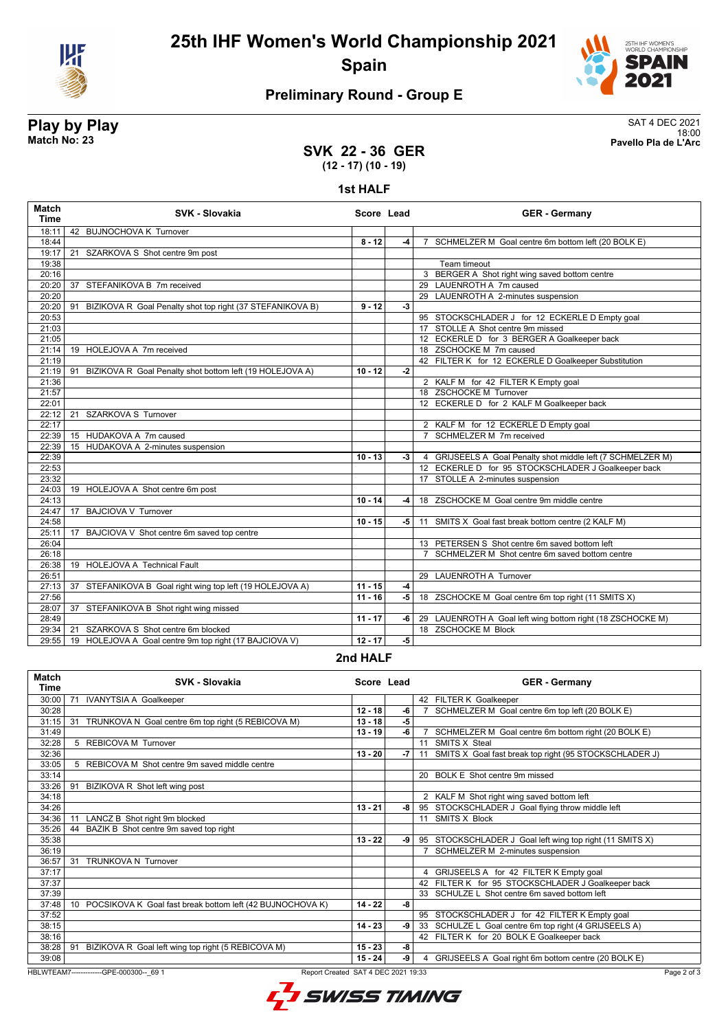

# **25th IHF Women's World Championship 2021 Spain**



# **Preliminary Round - Group E**

# **Play by Play**<br>Match No: 23<br>Pavello Pla de L'Arc

18:00 **Match No: 23 Pavello Pla de L'Arc**

### **SVK 22 - 36 GER (12 - 17) (10 - 19)**

### **1st HALF**

| <b>Match</b><br><b>Time</b> | SVK - Slovakia                                                  | Score Lead |      | <b>GER - Germany</b>                                        |
|-----------------------------|-----------------------------------------------------------------|------------|------|-------------------------------------------------------------|
| 18:11                       | 42 BUJNOCHOVA K Turnover                                        |            |      |                                                             |
| 18:44                       |                                                                 | $8 - 12$   | $-4$ | 7 SCHMELZER M Goal centre 6m bottom left (20 BOLK E)        |
| 19:17                       | 21<br>SZARKOVA S Shot centre 9m post                            |            |      |                                                             |
| 19:38                       |                                                                 |            |      | Team timeout                                                |
| 20:16                       |                                                                 |            |      | 3 BERGER A Shot right wing saved bottom centre              |
| 20:20                       | 37 STEFANIKOVA B 7m received                                    |            |      | 29 LAUENROTH A 7m caused                                    |
| 20:20                       |                                                                 |            |      | 29 LAUENROTH A 2-minutes suspension                         |
| 20:20                       | BIZIKOVA R Goal Penalty shot top right (37 STEFANIKOVA B)<br>91 | $9 - 12$   | $-3$ |                                                             |
| 20:53                       |                                                                 |            |      | 95 STOCKSCHLADER J for 12 ECKERLE D Empty goal              |
| 21:03                       |                                                                 |            |      | 17 STOLLE A Shot centre 9m missed                           |
| 21:05                       |                                                                 |            |      | 12 ECKERLE D for 3 BERGER A Goalkeeper back                 |
| 21:14                       | 19 HOLEJOVA A 7m received                                       |            |      | 18 ZSCHOCKE M 7m caused                                     |
| 21:19                       |                                                                 |            |      | 42 FILTER K for 12 ECKERLE D Goalkeeper Substitution        |
| 21:19                       | BIZIKOVA R Goal Penalty shot bottom left (19 HOLEJOVA A)<br>91  | $10 - 12$  | $-2$ |                                                             |
| 21:36                       |                                                                 |            |      | 2 KALF M for 42 FILTER K Empty goal                         |
| 21:57                       |                                                                 |            |      | 18 ZSCHOCKE M Turnover                                      |
| 22:01                       |                                                                 |            |      | 12 ECKERLE D for 2 KALF M Goalkeeper back                   |
| 22:12                       | $\overline{21}$<br>SZARKOVA S Turnover                          |            |      |                                                             |
| 22:17                       |                                                                 |            |      | 2 KALF M for 12 ECKERLE D Empty goal                        |
| 22:39                       | 15 HUDAKOVA A 7m caused                                         |            |      | 7 SCHMELZER M 7m received                                   |
| 22:39                       | 15 HUDAKOVA A 2-minutes suspension                              |            |      |                                                             |
| 22:39                       |                                                                 | $10 - 13$  | $-3$ | 4 GRIJSEELS A Goal Penalty shot middle left (7 SCHMELZER M) |
| 22:53                       |                                                                 |            |      | 12 ECKERLE D for 95 STOCKSCHLADER J Goalkeeper back         |
| 23:32                       |                                                                 |            |      | 17 STOLLE A 2-minutes suspension                            |
| 24:03                       | 19 HOLEJOVA A Shot centre 6m post                               |            |      |                                                             |
| 24:13                       |                                                                 | $10 - 14$  | -4   | 18 ZSCHOCKE M Goal centre 9m middle centre                  |
| 24:47                       | 17 BAJCIOVA V Turnover                                          |            |      |                                                             |
| 24:58                       |                                                                 | $10 - 15$  | -5 I | 11 SMITS X Goal fast break bottom centre (2 KALF M)         |
| 25:11                       | 17<br>BAJCIOVA V Shot centre 6m saved top centre                |            |      |                                                             |
| 26:04                       |                                                                 |            |      | 13 PETERSEN S Shot centre 6m saved bottom left              |
| 26:18                       |                                                                 |            |      | 7 SCHMELZER M Shot centre 6m saved bottom centre            |
| 26:38                       | 19 HOLEJOVA A Technical Fault                                   |            |      |                                                             |
| 26:51                       |                                                                 |            |      | 29 LAUENROTH A Turnover                                     |
| 27:13                       | 37 STEFANIKOVA B Goal right wing top left (19 HOLEJOVA A)       | $11 - 15$  | $-4$ |                                                             |
| 27:56                       |                                                                 | $11 - 16$  | $-5$ | 18 ZSCHOCKE M Goal centre 6m top right (11 SMITS X)         |
| 28:07                       | 37 STEFANIKOVA B Shot right wing missed                         |            |      |                                                             |
| 28:49                       |                                                                 | $11 - 17$  | -6 l | 29 LAUENROTH A Goal left wing bottom right (18 ZSCHOCKE M)  |
| 29:34                       | 21<br>SZARKOVA S Shot centre 6m blocked                         |            |      | 18 ZSCHOCKE M Block                                         |
| 29:55                       | 19 HOLEJOVA A Goal centre 9m top right (17 BAJCIOVA V)          | $12 - 17$  | $-5$ |                                                             |

### **2nd HALF**

| <b>Match</b><br><b>Time</b>                                                                    | SVK - Slovakia                                                  | Score Lead |    |    | <b>GER - Germany</b>                                     |
|------------------------------------------------------------------------------------------------|-----------------------------------------------------------------|------------|----|----|----------------------------------------------------------|
| 30:00                                                                                          | <b>IVANYTSIA A Goalkeeper</b><br>71                             |            |    |    | 42 FILTER K Goalkeeper                                   |
| 30:28                                                                                          |                                                                 | $12 - 18$  | -6 |    | SCHMELZER M Goal centre 6m top left (20 BOLK E)          |
| 31:15                                                                                          | TRUNKOVA N Goal centre 6m top right (5 REBICOVA M)<br>31        | $13 - 18$  | -5 |    |                                                          |
| 31:49                                                                                          |                                                                 | 13 - 19    | -6 |    | SCHMELZER M Goal centre 6m bottom right (20 BOLK E)      |
| 32:28                                                                                          | 5 REBICOVA M Turnover                                           |            |    |    | 11 SMITS X Steal                                         |
| 32:36                                                                                          |                                                                 | $13 - 20$  | -7 | 11 | SMITS X Goal fast break top right (95 STOCKSCHLADER J)   |
| 33:05                                                                                          | 5 REBICOVA M Shot centre 9m saved middle centre                 |            |    |    |                                                          |
| 33:14                                                                                          |                                                                 |            |    |    | 20 BOLK E Shot centre 9m missed                          |
| 33:26                                                                                          | 91<br>BIZIKOVA R Shot left wing post                            |            |    |    |                                                          |
| 34:18                                                                                          |                                                                 |            |    |    | 2 KALF M Shot right wing saved bottom left               |
| 34:26                                                                                          |                                                                 | $13 - 21$  | -8 |    | 95 STOCKSCHLADER J Goal flying throw middle left         |
| 34:36                                                                                          | LANCZ B Shot right 9m blocked<br>11                             |            |    |    | 11 SMITS X Block                                         |
| 35:26                                                                                          | 44 BAZIK B Shot centre 9m saved top right                       |            |    |    |                                                          |
| 35:38                                                                                          |                                                                 | $13 - 22$  | -9 |    | 95 STOCKSCHLADER J Goal left wing top right (11 SMITS X) |
| 36:19                                                                                          |                                                                 |            |    |    | SCHMELZER M 2-minutes suspension                         |
| 36:57                                                                                          | 31<br><b>TRUNKOVA N Turnover</b>                                |            |    |    |                                                          |
| 37:17                                                                                          |                                                                 |            |    |    | 4 GRIJSEELS A for 42 FILTER K Empty goal                 |
| 37:37                                                                                          |                                                                 |            |    |    | 42 FILTER K for 95 STOCKSCHLADER J Goalkeeper back       |
| 37:39                                                                                          |                                                                 |            |    |    | 33 SCHULZE L Shot centre 6m saved bottom left            |
| 37:48                                                                                          | POCSIKOVA K Goal fast break bottom left (42 BUJNOCHOVA K)<br>10 | $14 - 22$  | -8 |    |                                                          |
| 37:52                                                                                          |                                                                 |            |    |    | 95 STOCKSCHLADER J for 42 FILTER K Empty goal            |
| 38:15                                                                                          |                                                                 | $14 - 23$  | -9 |    | 33 SCHULZE L Goal centre 6m top right (4 GRIJSEELS A)    |
| 38:16                                                                                          |                                                                 |            |    |    | 42 FILTER K for 20 BOLK E Goalkeeper back                |
| 38:28                                                                                          | BIZIKOVA R Goal left wing top right (5 REBICOVA M)<br>91        | $15 - 23$  | -8 |    |                                                          |
| 39:08                                                                                          |                                                                 | 15 - 24    | -9 |    | 4 GRIJSEELS A Goal right 6m bottom centre (20 BOLK E)    |
| Report Created SAT 4 DEC 2021 19:33<br>HBLWTEAM7--------------GPE-000300-- 69 1<br>Page 2 of 3 |                                                                 |            |    |    |                                                          |